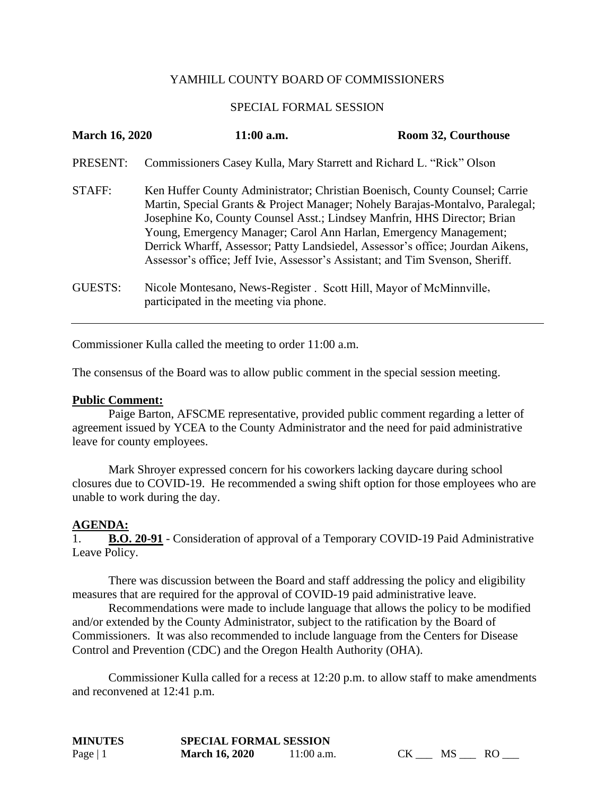## YAMHILL COUNTY BOARD OF COMMISSIONERS

## SPECIAL FORMAL SESSION

| <b>March 16, 2020</b> | $11:00$ a.m.                                                                                                                                                                                                                                                                                                                                                                                                                                                                     | Room 32, Courthouse |
|-----------------------|----------------------------------------------------------------------------------------------------------------------------------------------------------------------------------------------------------------------------------------------------------------------------------------------------------------------------------------------------------------------------------------------------------------------------------------------------------------------------------|---------------------|
| PRESENT:              | Commissioners Casey Kulla, Mary Starrett and Richard L. "Rick" Olson                                                                                                                                                                                                                                                                                                                                                                                                             |                     |
| STAFF:                | Ken Huffer County Administrator; Christian Boenisch, County Counsel; Carrie<br>Martin, Special Grants & Project Manager; Nohely Barajas-Montalvo, Paralegal;<br>Josephine Ko, County Counsel Asst.; Lindsey Manfrin, HHS Director; Brian<br>Young, Emergency Manager; Carol Ann Harlan, Emergency Management;<br>Derrick Wharff, Assessor; Patty Landsiedel, Assessor's office; Jourdan Aikens,<br>Assessor's office; Jeff Ivie, Assessor's Assistant; and Tim Svenson, Sheriff. |                     |
| <b>GUESTS:</b>        | Nicole Montesano, News-Register . Scott Hill, Mayor of McMinnville,<br>participated in the meeting via phone.                                                                                                                                                                                                                                                                                                                                                                    |                     |

Commissioner Kulla called the meeting to order 11:00 a.m.

The consensus of the Board was to allow public comment in the special session meeting.

## **Public Comment:**

Paige Barton, AFSCME representative, provided public comment regarding a letter of agreement issued by YCEA to the County Administrator and the need for paid administrative leave for county employees.

Mark Shroyer expressed concern for his coworkers lacking daycare during school closures due to COVID-19. He recommended a swing shift option for those employees who are unable to work during the day.

## **AGENDA:**

1. **B.O. 20-91** - Consideration of approval of a Temporary COVID-19 Paid Administrative Leave Policy.

There was discussion between the Board and staff addressing the policy and eligibility measures that are required for the approval of COVID-19 paid administrative leave.

Recommendations were made to include language that allows the policy to be modified and/or extended by the County Administrator, subject to the ratification by the Board of Commissioners. It was also recommended to include language from the Centers for Disease Control and Prevention (CDC) and the Oregon Health Authority (OHA).

Commissioner Kulla called for a recess at 12:20 p.m. to allow staff to make amendments and reconvened at 12:41 p.m.

| <b>MINUTES</b> | <b>SPECIAL FORMAL SESSION</b> |              |           |           |  |
|----------------|-------------------------------|--------------|-----------|-----------|--|
| Page $ 1$      | <b>March 16, 2020</b>         | $11:00$ a.m. | <b>CK</b> | <b>MS</b> |  |